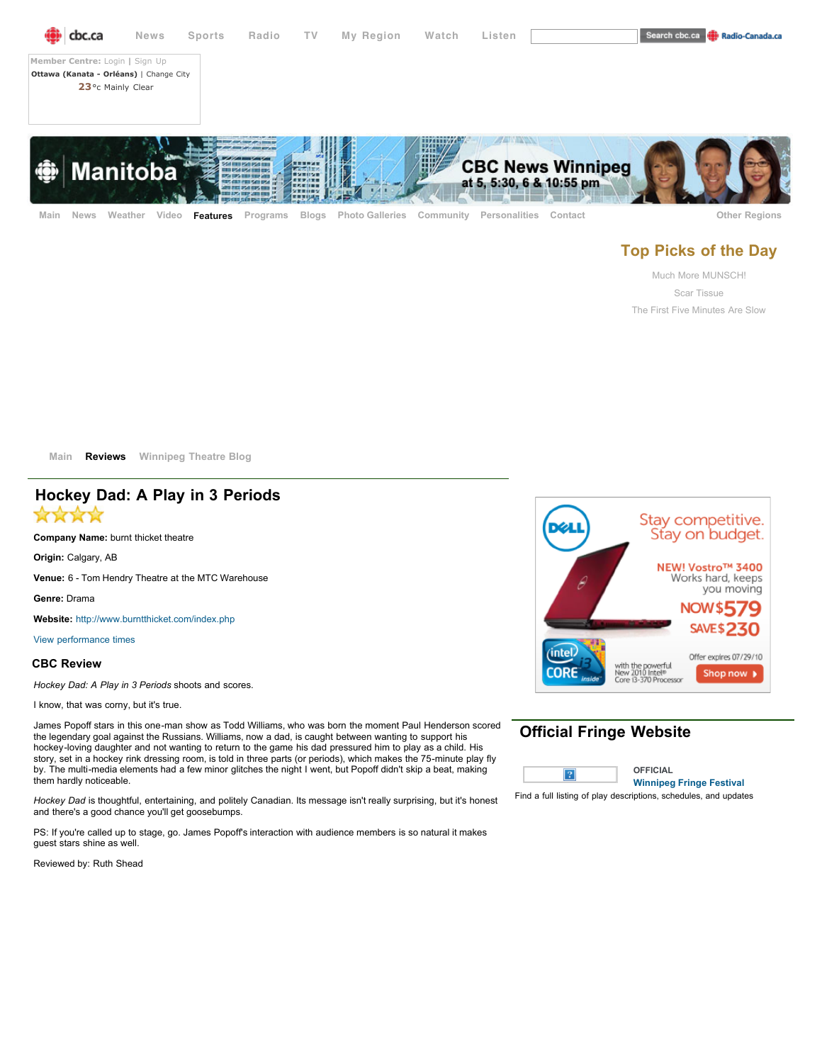

# **Top Picks of the Day**

[Much More MUNSCH!](http://www.cbc.ca/manitoba/features/fringefestival/2010/06/much-more-munsch.html) [Scar Tissue](http://www.cbc.ca/manitoba/features/fringefestival/2010/06/scar-tissue.html) [The First Five Minutes Are Slow](http://www.cbc.ca/manitoba/features/fringefestival/2010/06/the-first-five-minutes-are-slow.html)

**[Main](http://www.cbc.ca/manitoba/features/fringefestival/) [Reviews](http://www.cbc.ca/manitoba/features/fringefestival/reviews_title.html) [Winnipeg Theatre Blog](http://www.cbc.ca/inforadio/theatre_blog.html)**

## **Hockey Dad: A Play in 3 Periods**

\*\*\*\*

**Company Name:** burnt thicket theatre

**Origin:** Calgary, AB

**Venue:** 6 - Tom Hendry Theatre at the MTC Warehouse

**Genre:** Drama

**Website:** <http://www.burntthicket.com/index.php>

[View performance times](http://www.winnipegfringe.com/fr_performer.aspx?kw=burnt+thicket+theatre)

### **CBC Review**

*Hockey Dad: A Play in 3 Periods* shoots and scores.

I know, that was corny, but it's true.

James Popoff stars in this one-man show as Todd Williams, who was born the moment Paul Henderson scored the legendary goal against the Russians. Williams, now a dad, is caught between wanting to support his hockey-loving daughter and not wanting to return to the game his dad pressured him to play as a child. His story, set in a hockey rink dressing room, is told in three parts (or periods), which makes the 75-minute play fly by. The multi-media elements had a few minor glitches the night I went, but Popoff didn't skip a beat, making them hardly noticeable.

*Hockey Dad* is thoughtful, entertaining, and politely Canadian. Its message isn't really surprising, but it's honest and there's a good chance you'll get goosebumps.

PS: If you're called up to stage, go. James Popoff's interaction with audience members is so natural it makes guest stars shine as well.

Reviewed by: Ruth Shead



## **Official Fringe Website**



Find a full listing of play descriptions, schedules, and updates